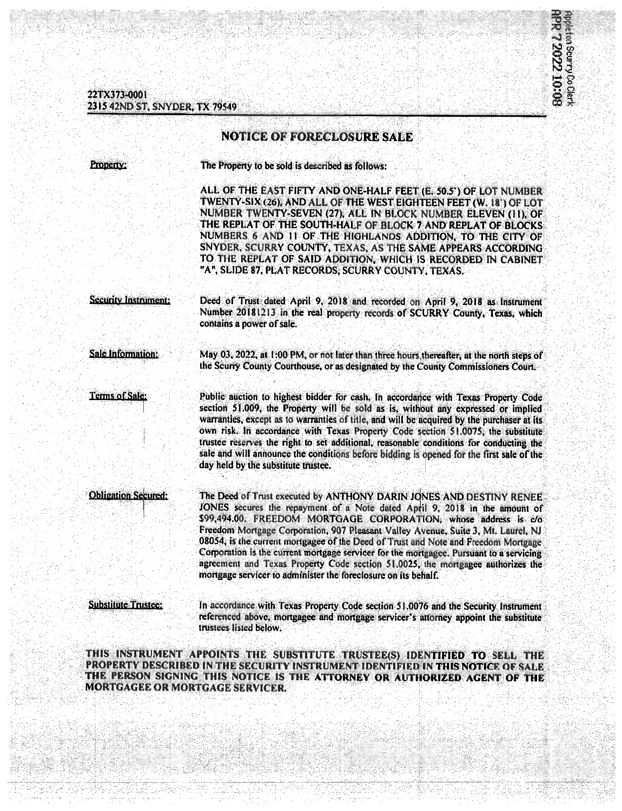22TX373-0001 2315 42ND ST, SNYDER, TX 79549



## **NOTICE OF FORECLOSURE SALE** The Property to be sold is described as follows: Property: ALL OF THE EAST FIFTY AND ONE-HALF FEET (E. 50.5') OF LOT NUMBER TWENTY-SIX (26), AND ALL OF THE WEST EIGHTEEN FEET (W. 18') OF LOT NUMBER TWENTY-SEVEN (27), ALL IN BLOCK NUMBER ELEVEN (11), OF THE REPLAT OF THE SOUTH-HALF OF BLOCK 7 AND REPLAT OF BLOCKS NUMBERS 6 AND 11 OF THE HIGHLANDS ADDITION, TO THE CITY OF SNYDER, SCURRY COUNTY, TEXAS, AS THE SAME APPEARS ACCORDING TO THE REPLAT OF SAID ADDITION, WHICH IS RECORDED IN CABINET "A", SLIDE 87, PLAT RECORDS, SCURRY COUNTY, TEXAS. Security Instrument: Deed of Trust dated April 9, 2018 and recorded on April 9, 2018 as Instrument Number 20181213 in the real property records of SCURRY County, Texas, which contains a power of sale. May 03, 2022, at 1:00 PM, or not later than three hours thereafter, at the north steps of **Sale Information:** the Scurry County Courthouse, or as designated by the County Commissioners Court. Terms of Sale: Public auction to highest bidder for cash. In accordance with Texas Property Code section 51,009, the Property will be sold as is, without any expressed or implied warranties, except as to warranties of title, and will be acquired by the purchaser at its own risk. In accordance with Texas Property Code section 51.0075, the substitute trustee reserves the right to set additional, reasonable conditions for conducting the sale and will announce the conditions before bidding is opened for the first sale of the day held by the substitute trustee. **Obligation Secured:** The Deed of Trust executed by ANTHONY DARIN JONES AND DESTINY RENEE JONES secures the repayment of a Note dated April 9, 2018 in the amount of \$99,494.00. FREEDOM MORTGAGE CORPORATION, whose address is c/o Freedom Mortgage Corporation, 907 Pleasant Valley Avenue, Suite 3, Mt. Laurel, NJ 08054, is the current mortgagee of the Deed of Trust and Note and Freedom Mortgage Corporation is the current mortgage servicer for the mortgagee. Pursuant to a servicing agreement and Texas Property Code section 51,0025, the mortgagee authorizes the mortgage servicer to administer the foreclosure on its behalf. **Substitute Trustee:** In accordance with Texas Property Code section 51.0076 and the Security Instrument referenced above, mortgagee and mortgage servicer's attorney appoint the substitute trustees listed below.

THIS INSTRUMENT APPOINTS THE SUBSTITUTE TRUSTEE(S) IDENTIFIED TO SELL THE PROPERTY DESCRIBED IN THE SECURITY INSTRUMENT IDENTIFIED IN THIS NOTICE OF SALE THE PERSON SIGNING THIS NOTICE IS THE ATTORNEY OR AUTHORIZED AGENT OF THE **MORTGAGEE OR MORTGAGE SERVICER.**